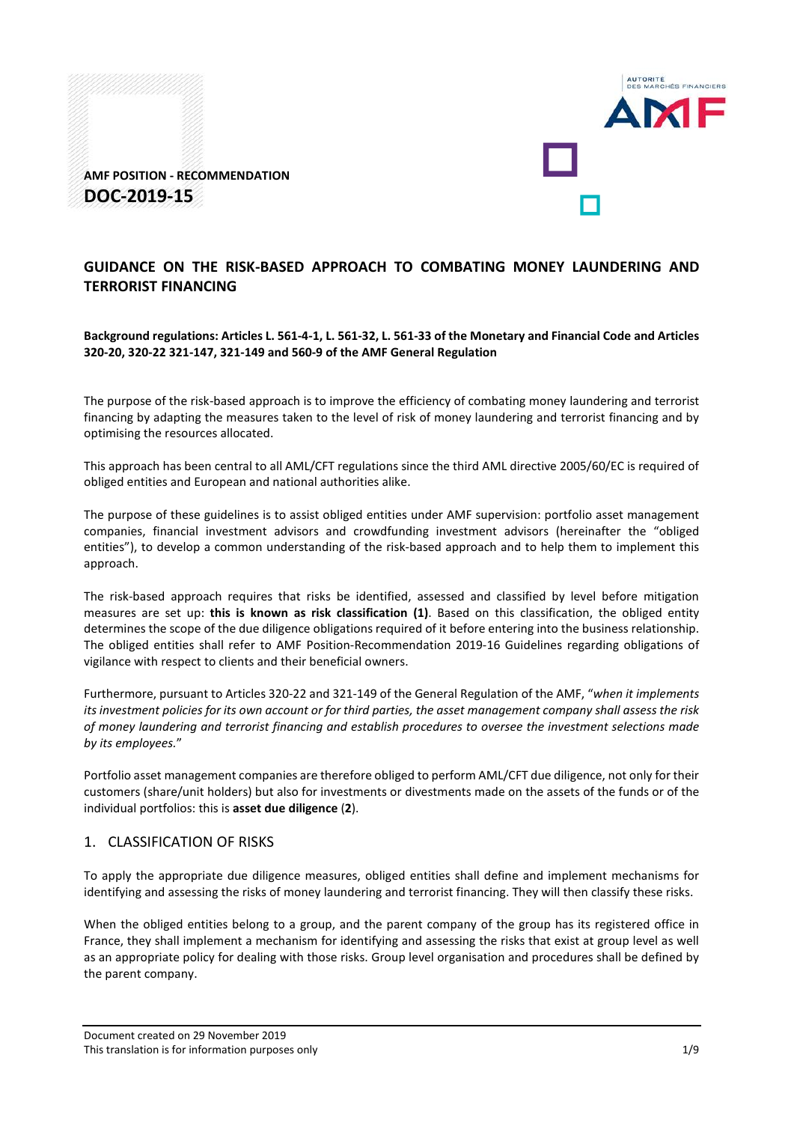

**AMF POSITION - RECOMMENDATION DOC-2019-15**

# **GUIDANCE ON THE RISK-BASED APPROACH TO COMBATING MONEY LAUNDERING AND TERRORIST FINANCING**

**Background regulations: Articles L. 561-4-1, L. 561-32, L. 561-33 of the Monetary and Financial Code and Articles 320-20, 320-22 321-147, 321-149 and 560-9 of the AMF General Regulation** 

The purpose of the risk-based approach is to improve the efficiency of combating money laundering and terrorist financing by adapting the measures taken to the level of risk of money laundering and terrorist financing and by optimising the resources allocated.

This approach has been central to all AML/CFT regulations since the third AML directive 2005/60/EC is required of obliged entities and European and national authorities alike.

The purpose of these guidelines is to assist obliged entities under AMF supervision: portfolio asset management companies, financial investment advisors and crowdfunding investment advisors (hereinafter the "obliged entities"), to develop a common understanding of the risk-based approach and to help them to implement this approach.

The risk-based approach requires that risks be identified, assessed and classified by level before mitigation measures are set up: **this is known as risk classification (1)**. Based on this classification, the obliged entity determines the scope of the due diligence obligations required of it before entering into the business relationship. The obliged entities shall refer to AMF Position-Recommendation 2019-16 Guidelines regarding obligations of vigilance with respect to clients and their beneficial owners.

Furthermore, pursuant to Articles 320-22 and 321-149 of the General Regulation of the AMF, "*when it implements its investment policies for its own account or for third parties, the asset management company shall assess the risk of money laundering and terrorist financing and establish procedures to oversee the investment selections made by its employees.*"

Portfolio asset management companies are therefore obliged to perform AML/CFT due diligence, not only for their customers (share/unit holders) but also for investments or divestments made on the assets of the funds or of the individual portfolios: this is **asset due diligence** (**2**).

## 1. CLASSIFICATION OF RISKS

To apply the appropriate due diligence measures, obliged entities shall define and implement mechanisms for identifying and assessing the risks of money laundering and terrorist financing. They will then classify these risks.

When the obliged entities belong to a group, and the parent company of the group has its registered office in France, they shall implement a mechanism for identifying and assessing the risks that exist at group level as well as an appropriate policy for dealing with those risks. Group level organisation and procedures shall be defined by the parent company.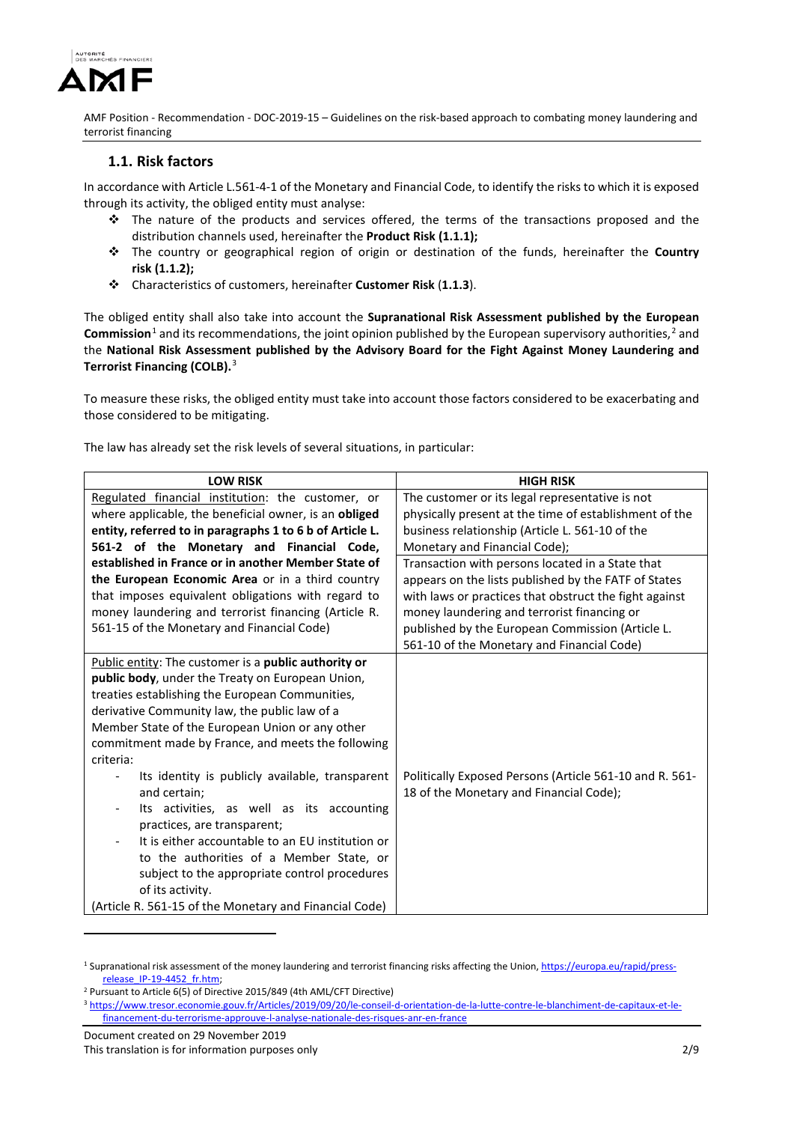

# **1.1. Risk factors**

In accordance with Article L.561-4-1 of the Monetary and Financial Code, to identify the risks to which it is exposed through its activity, the obliged entity must analyse:

- $\div$  The nature of the products and services offered, the terms of the transactions proposed and the distribution channels used, hereinafter the **Product Risk (1.1.1);**
- The country or geographical region of origin or destination of the funds, hereinafter the **Country risk (1.1.2);**
- Characteristics of customers, hereinafter **Customer Risk** (**1.1.3**).

The obliged entity shall also take into account the **Supranational Risk Assessment published by the European**  Commission<sup>[1](#page-1-0)</sup> and its recommendations, the joint opinion published by the European supervisory authorities,<sup>[2](#page-1-1)</sup> and the **National Risk Assessment published by the Advisory Board for the Fight Against Money Laundering and Terrorist Financing (COLB).** [3](#page-1-2)

To measure these risks, the obliged entity must take into account those factors considered to be exacerbating and those considered to be mitigating.

The law has already set the risk levels of several situations, in particular:

| <b>LOW RISK</b>                                          | <b>HIGH RISK</b>                                        |
|----------------------------------------------------------|---------------------------------------------------------|
| Regulated financial institution: the customer, or        | The customer or its legal representative is not         |
| where applicable, the beneficial owner, is an obliged    | physically present at the time of establishment of the  |
| entity, referred to in paragraphs 1 to 6 b of Article L. | business relationship (Article L. 561-10 of the         |
| 561-2 of the Monetary and Financial Code,                | Monetary and Financial Code);                           |
| established in France or in another Member State of      | Transaction with persons located in a State that        |
| the European Economic Area or in a third country         | appears on the lists published by the FATF of States    |
| that imposes equivalent obligations with regard to       | with laws or practices that obstruct the fight against  |
| money laundering and terrorist financing (Article R.     | money laundering and terrorist financing or             |
| 561-15 of the Monetary and Financial Code)               | published by the European Commission (Article L.        |
|                                                          | 561-10 of the Monetary and Financial Code)              |
| Public entity: The customer is a public authority or     |                                                         |
| public body, under the Treaty on European Union,         |                                                         |
| treaties establishing the European Communities,          |                                                         |
| derivative Community law, the public law of a            |                                                         |
| Member State of the European Union or any other          |                                                         |
| commitment made by France, and meets the following       |                                                         |
| criteria:                                                |                                                         |
| Its identity is publicly available, transparent          | Politically Exposed Persons (Article 561-10 and R. 561- |
| and certain;                                             | 18 of the Monetary and Financial Code);                 |
| Its activities, as well as its accounting                |                                                         |
| practices, are transparent;                              |                                                         |
| It is either accountable to an EU institution or         |                                                         |
| to the authorities of a Member State, or                 |                                                         |
| subject to the appropriate control procedures            |                                                         |
| of its activity.                                         |                                                         |
| (Article R. 561-15 of the Monetary and Financial Code)   |                                                         |

<span id="page-1-0"></span><sup>&</sup>lt;sup>1</sup> Supranational risk assessment of the money laundering and terrorist financing risks affecting the Union[, https://europa.eu/rapid/press](https://europa.eu/rapid/press-release_IP-19-4452_fr.htm)release\_IP-19-4452\_fr.htm;<br><sup>2</sup> Pursuant to Article 6(5) of Directive 2015/849 (4th AML/CFT Directive)

<span id="page-1-1"></span>

Document created on 29 November 2019

<u>.</u>

<span id="page-1-2"></span><sup>3</sup> [https://www.tresor.economie.gouv.fr/Articles/2019/09/20/le-conseil-d-orientation-de-la-lutte-contre-le-blanchiment-de-capitaux-et-le](https://www.tresor.economie.gouv.fr/Articles/2019/09/20/le-conseil-d-orientation-de-la-lutte-contre-le-blanchiment-de-capitaux-et-le-financement-du-terrorisme-approuve-l-analyse-nationale-des-risques-anr-en-france)[financement-du-terrorisme-approuve-l-analyse-nationale-des-risques-anr-en-france](https://www.tresor.economie.gouv.fr/Articles/2019/09/20/le-conseil-d-orientation-de-la-lutte-contre-le-blanchiment-de-capitaux-et-le-financement-du-terrorisme-approuve-l-analyse-nationale-des-risques-anr-en-france)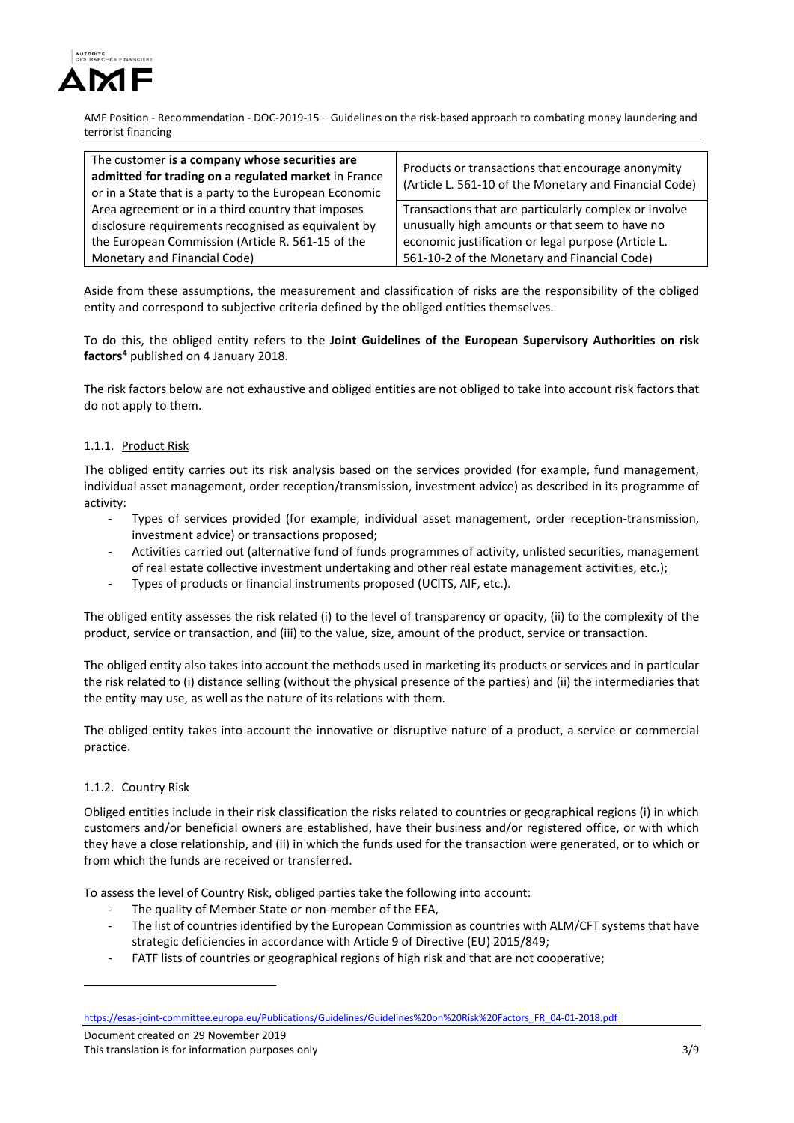

| The customer is a company whose securities are<br>admitted for trading on a regulated market in France<br>or in a State that is a party to the European Economic | Products or transactions that encourage anonymity<br>(Article L. 561-10 of the Monetary and Financial Code) |
|------------------------------------------------------------------------------------------------------------------------------------------------------------------|-------------------------------------------------------------------------------------------------------------|
| Area agreement or in a third country that imposes                                                                                                                | Transactions that are particularly complex or involve                                                       |
| disclosure requirements recognised as equivalent by                                                                                                              | unusually high amounts or that seem to have no                                                              |
| the European Commission (Article R. 561-15 of the                                                                                                                | economic justification or legal purpose (Article L.                                                         |
| Monetary and Financial Code)                                                                                                                                     | 561-10-2 of the Monetary and Financial Code)                                                                |

Aside from these assumptions, the measurement and classification of risks are the responsibility of the obliged entity and correspond to subjective criteria defined by the obliged entities themselves.

To do this, the obliged entity refers to the **Joint Guidelines of the European Supervisory Authorities on risk factors[4](#page-2-0)** published on 4 January 2018.

The risk factors below are not exhaustive and obliged entities are not obliged to take into account risk factors that do not apply to them.

### 1.1.1. Product Risk

The obliged entity carries out its risk analysis based on the services provided (for example, fund management, individual asset management, order reception/transmission, investment advice) as described in its programme of activity:

- Types of services provided (for example, individual asset management, order reception-transmission, investment advice) or transactions proposed;
- Activities carried out (alternative fund of funds programmes of activity, unlisted securities, management of real estate collective investment undertaking and other real estate management activities, etc.);
- Types of products or financial instruments proposed (UCITS, AIF, etc.).

The obliged entity assesses the risk related (i) to the level of transparency or opacity, (ii) to the complexity of the product, service or transaction, and (iii) to the value, size, amount of the product, service or transaction.

The obliged entity also takes into account the methods used in marketing its products or services and in particular the risk related to (i) distance selling (without the physical presence of the parties) and (ii) the intermediaries that the entity may use, as well as the nature of its relations with them.

The obliged entity takes into account the innovative or disruptive nature of a product, a service or commercial practice.

### 1.1.2. Country Risk

-

Obliged entities include in their risk classification the risks related to countries or geographical regions (i) in which customers and/or beneficial owners are established, have their business and/or registered office, or with which they have a close relationship, and (ii) in which the funds used for the transaction were generated, or to which or from which the funds are received or transferred.

To assess the level of Country Risk, obliged parties take the following into account:

- The quality of Member State or non-member of the EEA,
- The list of countries identified by the European Commission as countries with ALM/CFT systems that have strategic deficiencies in accordance with Article 9 of Directive (EU) 2015/849;
- FATF lists of countries or geographical regions of high risk and that are not cooperative;

<span id="page-2-0"></span>[https://esas-joint-committee.europa.eu/Publications/Guidelines/Guidelines%20on%20Risk%20Factors\\_FR\\_04-01-2018.pdf](https://esas-joint-committee.europa.eu/Publications/Guidelines/Guidelines%20on%20Risk%20Factors_FR_04-01-2018.pdf)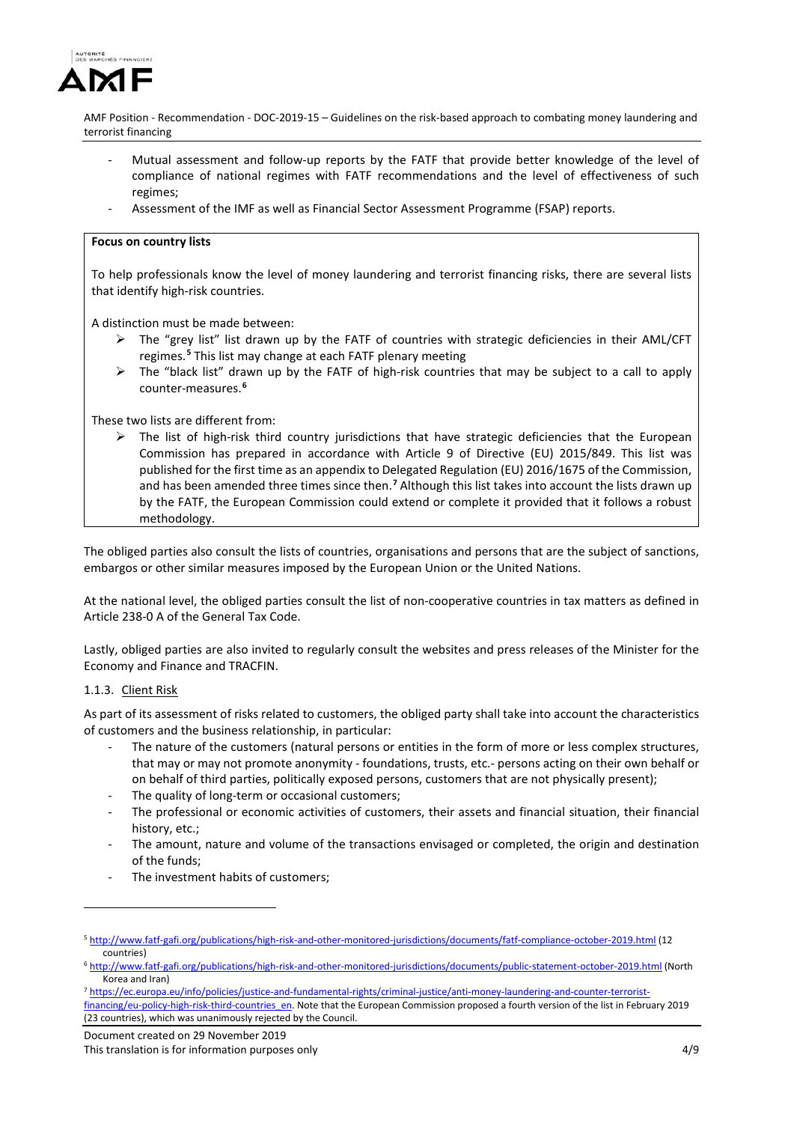

- Mutual assessment and follow-up reports by the FATF that provide better knowledge of the level of compliance of national regimes with FATF recommendations and the level of effectiveness of such regimes;
- Assessment of the IMF as well as Financial Sector Assessment Programme (FSAP) reports.

#### **Focus on country lists**

To help professionals know the level of money laundering and terrorist financing risks, there are several lists that identify high-risk countries.

A distinction must be made between:

- The "grey list" list drawn up by the FATF of countries with strategic deficiencies in their AML/CFT regimes. **[5](#page-3-0)** This list may change at each FATF plenary meeting
- $\triangleright$  The "black list" drawn up by the FATF of high-risk countries that may be subject to a call to apply counter-measures. **[6](#page-3-1)**

These two lists are different from:

 $\triangleright$  The list of high-risk third country jurisdictions that have strategic deficiencies that the European Commission has prepared in accordance with Article 9 of Directive (EU) 2015/849. This list was published for the first time as an appendix to Delegated Regulation (EU) 2016/1675 of the Commission, and has been amended three times since then. **[7](#page-3-2)** Although this list takes into account the lists drawn up by the FATF, the European Commission could extend or complete it provided that it follows a robust methodology.

The obliged parties also consult the lists of countries, organisations and persons that are the subject of sanctions, embargos or other similar measures imposed by the European Union or the United Nations.

At the national level, the obliged parties consult the list of non-cooperative countries in tax matters as defined in Article 238-0 A of the General Tax Code.

Lastly, obliged parties are also invited to regularly consult the websites and press releases of the Minister for the Economy and Finance and TRACFIN.

### 1.1.3. Client Risk

<u>.</u>

As part of its assessment of risks related to customers, the obliged party shall take into account the characteristics of customers and the business relationship, in particular:

- The nature of the customers (natural persons or entities in the form of more or less complex structures, that may or may not promote anonymity - foundations, trusts, etc.- persons acting on their own behalf or on behalf of third parties, politically exposed persons, customers that are not physically present);
- The quality of long-term or occasional customers;
- The professional or economic activities of customers, their assets and financial situation, their financial history, etc.;
- The amount, nature and volume of the transactions envisaged or completed, the origin and destination of the funds;
- The investment habits of customers:

<span id="page-3-0"></span><sup>5</sup> <http://www.fatf-gafi.org/publications/high-risk-and-other-monitored-jurisdictions/documents/fatf-compliance-october-2019.html> (12 countries) 6 <http://www.fatf-gafi.org/publications/high-risk-and-other-monitored-jurisdictions/documents/public-statement-october-2019.html> (North

<span id="page-3-1"></span>Korea and Iran)<br>7 [https://ec.europa.eu/info/policies/justice-and-fundamental-rights/criminal-justice/anti-money-laundering-and-counter-terrorist-](https://ec.europa.eu/info/policies/justice-and-fundamental-rights/criminal-justice/anti-money-laundering-and-counter-terrorist-financing/eu-policy-high-risk-third-countries_en)

<span id="page-3-2"></span>[financing/eu-policy-high-risk-third-countries\\_en.](https://ec.europa.eu/info/policies/justice-and-fundamental-rights/criminal-justice/anti-money-laundering-and-counter-terrorist-financing/eu-policy-high-risk-third-countries_en) Note that the European Commission proposed a fourth version of the list in February 2019 (23 countries), which was unanimously rejected by the Council.

Document created on 29 November 2019

This translation is for information purposes only the state of the state of the state of the 4/9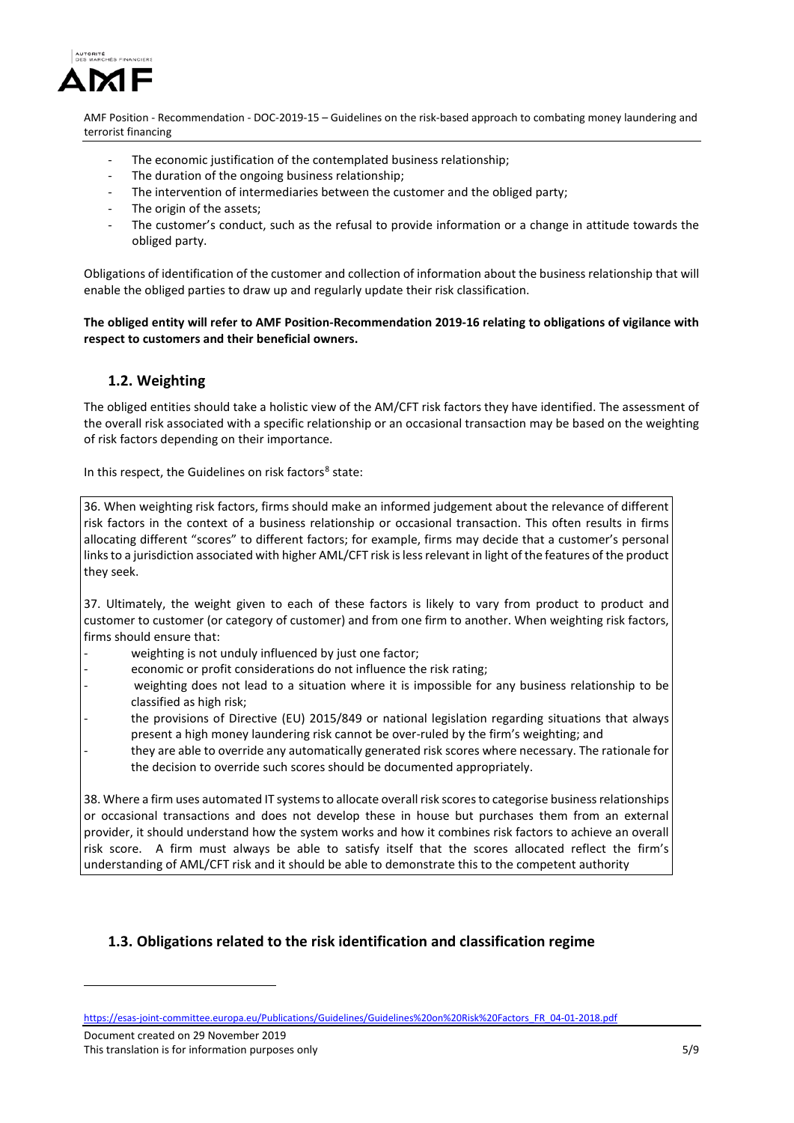

- The economic justification of the contemplated business relationship;
- The duration of the ongoing business relationship;
- The intervention of intermediaries between the customer and the obliged party;
- The origin of the assets;
- The customer's conduct, such as the refusal to provide information or a change in attitude towards the obliged party.

Obligations of identification of the customer and collection of information about the business relationship that will enable the obliged parties to draw up and regularly update their risk classification.

**The obliged entity will refer to AMF Position-Recommendation 2019-16 relating to obligations of vigilance with respect to customers and their beneficial owners.** 

# **1.2. Weighting**

The obliged entities should take a holistic view of the AM/CFT risk factors they have identified. The assessment of the overall risk associated with a specific relationship or an occasional transaction may be based on the weighting of risk factors depending on their importance.

In this respect, the Guidelines on risk factors $8$  state:

36. When weighting risk factors, firms should make an informed judgement about the relevance of different risk factors in the context of a business relationship or occasional transaction. This often results in firms allocating different "scores" to different factors; for example, firms may decide that a customer's personal links to a jurisdiction associated with higher AML/CFT risk is less relevant in light of the features of the product they seek.

37. Ultimately, the weight given to each of these factors is likely to vary from product to product and customer to customer (or category of customer) and from one firm to another. When weighting risk factors, firms should ensure that:

- weighting is not unduly influenced by just one factor;
- economic or profit considerations do not influence the risk rating;
- weighting does not lead to a situation where it is impossible for any business relationship to be classified as high risk;
- the provisions of Directive (EU) 2015/849 or national legislation regarding situations that always present a high money laundering risk cannot be over-ruled by the firm's weighting; and
- they are able to override any automatically generated risk scores where necessary. The rationale for the decision to override such scores should be documented appropriately.

38. Where a firm uses automated IT systems to allocate overall risk scores to categorise business relationships or occasional transactions and does not develop these in house but purchases them from an external provider, it should understand how the system works and how it combines risk factors to achieve an overall risk score. A firm must always be able to satisfy itself that the scores allocated reflect the firm's understanding of AML/CFT risk and it should be able to demonstrate this to the competent authority

# **1.3. Obligations related to the risk identification and classification regime**

-

<span id="page-4-0"></span>[https://esas-joint-committee.europa.eu/Publications/Guidelines/Guidelines%20on%20Risk%20Factors\\_FR\\_04-01-2018.pdf](https://esas-joint-committee.europa.eu/Publications/Guidelines/Guidelines%20on%20Risk%20Factors_FR_04-01-2018.pdf)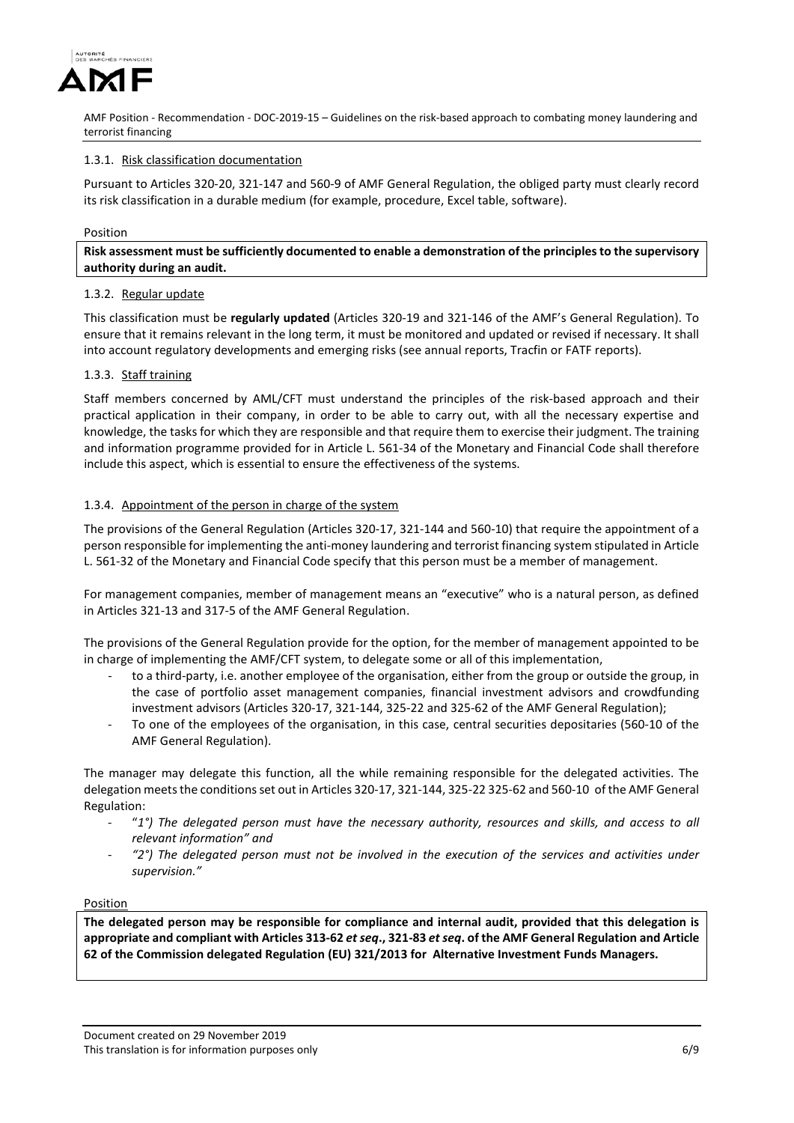

#### 1.3.1. Risk classification documentation

Pursuant to Articles 320-20, 321-147 and 560-9 of AMF General Regulation, the obliged party must clearly record its risk classification in a durable medium (for example, procedure, Excel table, software).

#### Position

**Risk assessment must be sufficiently documented to enable a demonstration of the principles to the supervisory authority during an audit.** 

#### 1.3.2. Regular update

This classification must be **regularly updated** (Articles 320-19 and 321-146 of the AMF's General Regulation). To ensure that it remains relevant in the long term, it must be monitored and updated or revised if necessary. It shall into account regulatory developments and emerging risks (see annual reports, Tracfin or FATF reports).

#### 1.3.3. Staff training

Staff members concerned by AML/CFT must understand the principles of the risk-based approach and their practical application in their company, in order to be able to carry out, with all the necessary expertise and knowledge, the tasks for which they are responsible and that require them to exercise their judgment. The training and information programme provided for in Article L. 561-34 of the Monetary and Financial Code shall therefore include this aspect, which is essential to ensure the effectiveness of the systems.

#### 1.3.4. Appointment of the person in charge of the system

The provisions of the General Regulation (Articles 320-17, 321-144 and 560-10) that require the appointment of a person responsible for implementing the anti-money laundering and terrorist financing system stipulated in Article L. 561-32 of the Monetary and Financial Code specify that this person must be a member of management.

For management companies, member of management means an "executive" who is a natural person, as defined in Articles 321-13 and 317-5 of the AMF General Regulation.

The provisions of the General Regulation provide for the option, for the member of management appointed to be in charge of implementing the AMF/CFT system, to delegate some or all of this implementation,

- to a third-party, i.e. another employee of the organisation, either from the group or outside the group, in the case of portfolio asset management companies, financial investment advisors and crowdfunding investment advisors (Articles 320-17, 321-144, 325-22 and 325-62 of the AMF General Regulation);
- To one of the employees of the organisation, in this case, central securities depositaries (560-10 of the AMF General Regulation).

The manager may delegate this function, all the while remaining responsible for the delegated activities. The delegation meets the conditions set out in Articles 320-17, 321-144, 325-22 325-62 and 560-10 of the AMF General Regulation:

- "*1°) The delegated person must have the necessary authority, resources and skills, and access to all relevant information" and*
- *"2°) The delegated person must not be involved in the execution of the services and activities under supervision."*

#### Position

**The delegated person may be responsible for compliance and internal audit, provided that this delegation is appropriate and compliant with Articles 313-62** *et seq***., 321-83** *et seq***. of the AMF General Regulation and Article 62 of the Commission delegated Regulation (EU) 321/2013 for Alternative Investment Funds Managers.**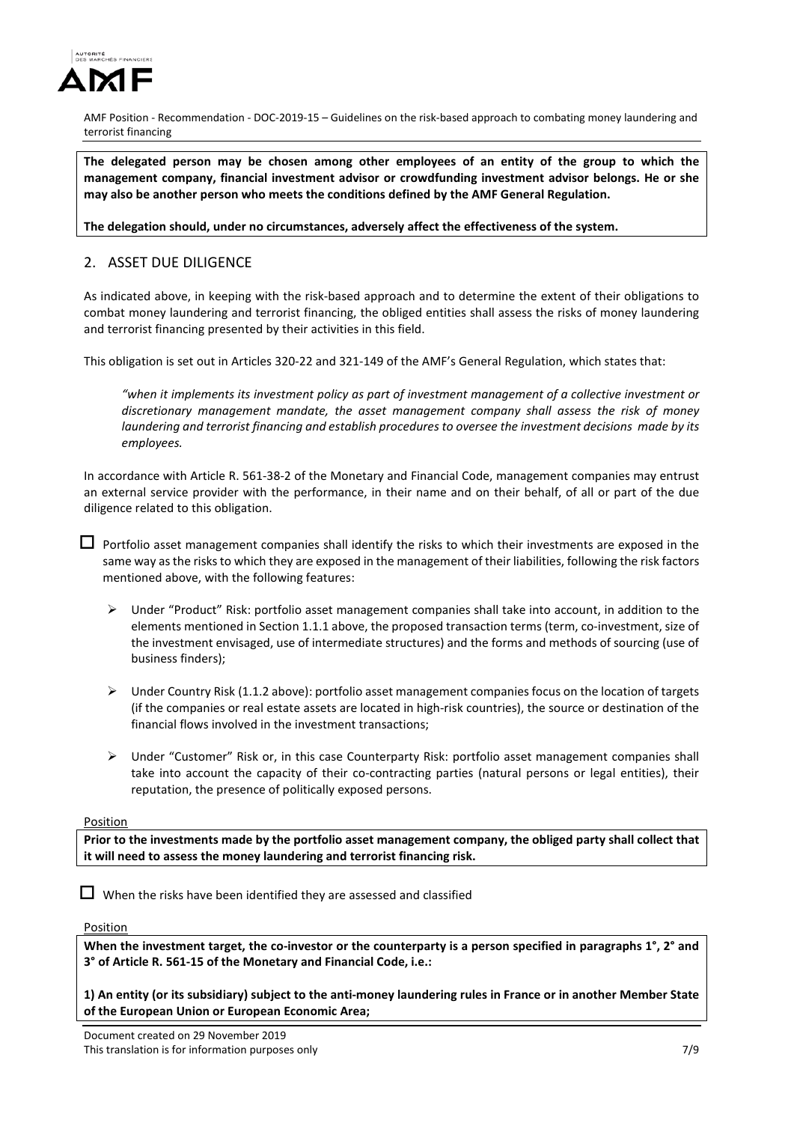

**The delegated person may be chosen among other employees of an entity of the group to which the management company, financial investment advisor or crowdfunding investment advisor belongs. He or she may also be another person who meets the conditions defined by the AMF General Regulation.**

**The delegation should, under no circumstances, adversely affect the effectiveness of the system.**

# 2. ASSET DUE DILIGENCE

As indicated above, in keeping with the risk-based approach and to determine the extent of their obligations to combat money laundering and terrorist financing, the obliged entities shall assess the risks of money laundering and terrorist financing presented by their activities in this field.

This obligation is set out in Articles 320-22 and 321-149 of the AMF's General Regulation, which states that:

*"when it implements its investment policy as part of investment management of a collective investment or discretionary management mandate, the asset management company shall assess the risk of money laundering and terrorist financing and establish procedures to oversee the investment decisions made by its employees.*

In accordance with Article R. 561-38-2 of the Monetary and Financial Code, management companies may entrust an external service provider with the performance, in their name and on their behalf, of all or part of the due diligence related to this obligation.

 $\Box$  Portfolio asset management companies shall identify the risks to which their investments are exposed in the same way as the risks to which they are exposed in the management of their liabilities, following the risk factors mentioned above, with the following features:

- $\triangleright$  Under "Product" Risk: portfolio asset management companies shall take into account, in addition to the elements mentioned in Section 1.1.1 above, the proposed transaction terms (term, co-investment, size of the investment envisaged, use of intermediate structures) and the forms and methods of sourcing (use of business finders);
- $\triangleright$  Under Country Risk (1.1.2 above): portfolio asset management companies focus on the location of targets (if the companies or real estate assets are located in high-risk countries), the source or destination of the financial flows involved in the investment transactions;
- $\triangleright$  Under "Customer" Risk or, in this case Counterparty Risk: portfolio asset management companies shall take into account the capacity of their co-contracting parties (natural persons or legal entities), their reputation, the presence of politically exposed persons.

### Position

**Prior to the investments made by the portfolio asset management company, the obliged party shall collect that it will need to assess the money laundering and terrorist financing risk.**

 $\Box$  When the risks have been identified they are assessed and classified

#### Position

**When the investment target, the co-investor or the counterparty is a person specified in paragraphs 1°, 2° and 3° of Article R. 561-15 of the Monetary and Financial Code, i.e.:** 

**1) An entity (or its subsidiary) subject to the anti-money laundering rules in France or in another Member State of the European Union or European Economic Area;**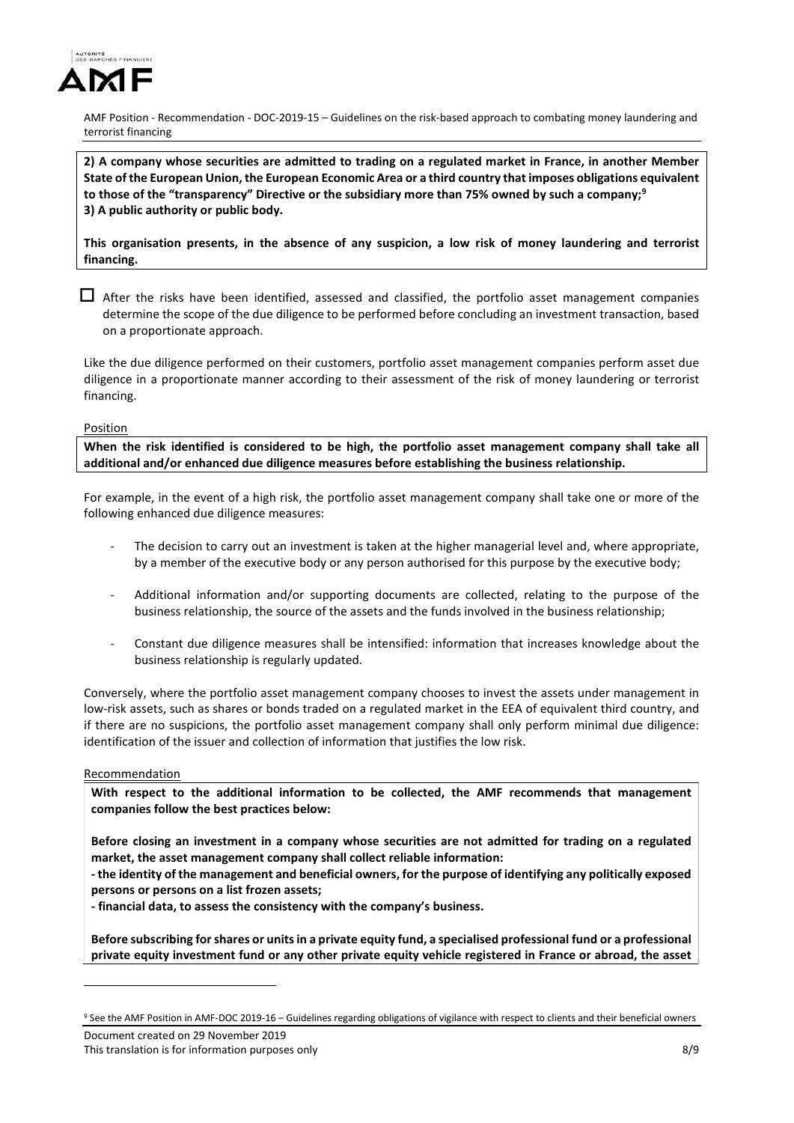

**2) A company whose securities are admitted to trading on a regulated market in France, in another Member State of the European Union, the European Economic Area or a third country that imposes obligations equivalent to those of the "transparency" Directive or the subsidiary more than 75% owned by such a company; [9](#page-7-0) 3) A public authority or public body.**

**This organisation presents, in the absence of any suspicion, a low risk of money laundering and terrorist financing.** 

 $\Box$  After the risks have been identified, assessed and classified, the portfolio asset management companies determine the scope of the due diligence to be performed before concluding an investment transaction, based on a proportionate approach.

Like the due diligence performed on their customers, portfolio asset management companies perform asset due diligence in a proportionate manner according to their assessment of the risk of money laundering or terrorist financing.

#### Position

**When the risk identified is considered to be high, the portfolio asset management company shall take all additional and/or enhanced due diligence measures before establishing the business relationship.**

For example, in the event of a high risk, the portfolio asset management company shall take one or more of the following enhanced due diligence measures:

- The decision to carry out an investment is taken at the higher managerial level and, where appropriate, by a member of the executive body or any person authorised for this purpose by the executive body;
- Additional information and/or supporting documents are collected, relating to the purpose of the business relationship, the source of the assets and the funds involved in the business relationship;
- Constant due diligence measures shall be intensified: information that increases knowledge about the business relationship is regularly updated.

Conversely, where the portfolio asset management company chooses to invest the assets under management in low-risk assets, such as shares or bonds traded on a regulated market in the EEA of equivalent third country, and if there are no suspicions, the portfolio asset management company shall only perform minimal due diligence: identification of the issuer and collection of information that justifies the low risk.

#### Recommendation

-

**With respect to the additional information to be collected, the AMF recommends that management companies follow the best practices below:** 

**Before closing an investment in a company whose securities are not admitted for trading on a regulated market, the asset management company shall collect reliable information:** 

**- the identity of the management and beneficial owners, for the purpose of identifying any politically exposed persons or persons on a list frozen assets;** 

**- financial data, to assess the consistency with the company's business.**

**Before subscribing for shares or units in a private equity fund, a specialised professional fund or a professional private equity investment fund or any other private equity vehicle registered in France or abroad, the asset** 

<span id="page-7-0"></span>Document created on 29 November 2019 <sup>9</sup> See the AMF Position in AMF-DOC 2019-16 – Guidelines regarding obligations of vigilance with respect to clients and their beneficial owners